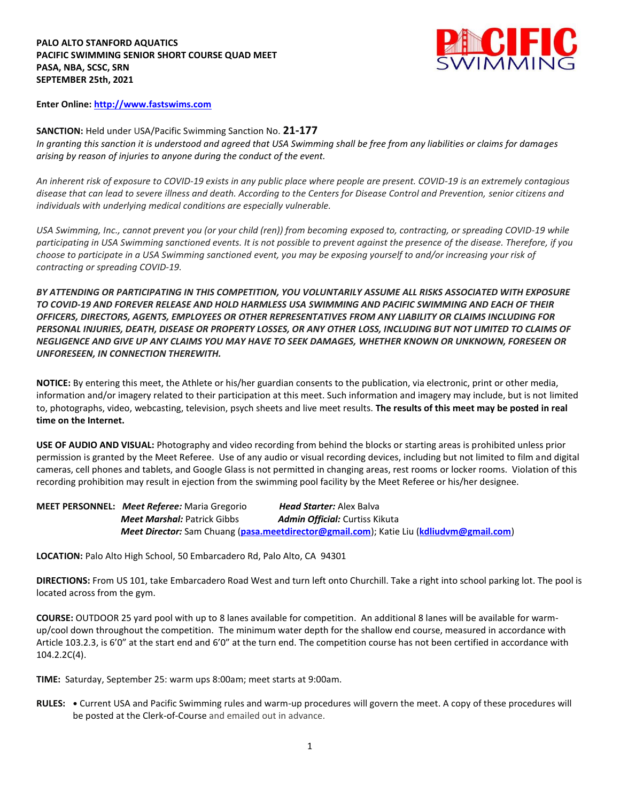

**Enter Online: [http://www.fastswims.com](http://www.fastswims.com/)**

**SANCTION:** Held under USA/Pacific Swimming Sanction No. **21-177** *In granting this sanction it is understood and agreed that USA Swimming shall be free from any liabilities or claims for damages arising by reason of injuries to anyone during the conduct of the event.* 

*An inherent risk of exposure to COVID-19 exists in any public place where people are present. COVID-19 is an extremely contagious disease that can lead to severe illness and death. According to the Centers for Disease Control and Prevention, senior citizens and individuals with underlying medical conditions are especially vulnerable.*

*USA Swimming, Inc., cannot prevent you (or your child (ren)) from becoming exposed to, contracting, or spreading COVID-19 while participating in USA Swimming sanctioned events. It is not possible to prevent against the presence of the disease. Therefore, if you choose to participate in a USA Swimming sanctioned event, you may be exposing yourself to and/or increasing your risk of contracting or spreading COVID-19.*

*BY ATTENDING OR PARTICIPATING IN THIS COMPETITION, YOU VOLUNTARILY ASSUME ALL RISKS ASSOCIATED WITH EXPOSURE TO COVID-19 AND FOREVER RELEASE AND HOLD HARMLESS USA SWIMMING AND PACIFIC SWIMMING AND EACH OF THEIR OFFICERS, DIRECTORS, AGENTS, EMPLOYEES OR OTHER REPRESENTATIVES FROM ANY LIABILITY OR CLAIMS INCLUDING FOR PERSONAL INJURIES, DEATH, DISEASE OR PROPERTY LOSSES, OR ANY OTHER LOSS, INCLUDING BUT NOT LIMITED TO CLAIMS OF NEGLIGENCE AND GIVE UP ANY CLAIMS YOU MAY HAVE TO SEEK DAMAGES, WHETHER KNOWN OR UNKNOWN, FORESEEN OR UNFORESEEN, IN CONNECTION THEREWITH.*

**NOTICE:** By entering this meet, the Athlete or his/her guardian consents to the publication, via electronic, print or other media, information and/or imagery related to their participation at this meet. Such information and imagery may include, but is not limited to, photographs, video, webcasting, television, psych sheets and live meet results. **The results of this meet may be posted in real time on the Internet.**

**USE OF AUDIO AND VISUAL:** Photography and video recording from behind the blocks or starting areas is prohibited unless prior permission is granted by the Meet Referee. Use of any audio or visual recording devices, including but not limited to film and digital cameras, cell phones and tablets, and Google Glass is not permitted in changing areas, rest rooms or locker rooms. Violation of this recording prohibition may result in ejection from the swimming pool facility by the Meet Referee or his/her designee.

| <b>MEET PERSONNEL: Meet Referee:</b> Maria Gregorio | <b>Head Starter:</b> Alex Balva                                                         |
|-----------------------------------------------------|-----------------------------------------------------------------------------------------|
| <b>Meet Marshal:</b> Patrick Gibbs                  | <b>Admin Official:</b> Curtiss Kikuta                                                   |
|                                                     | Meet Director: Sam Chuang (pasa.meetdirector@gmail.com); Katie Liu (kdliudvm@gmail.com) |

**LOCATION:** Palo Alto High School, 50 Embarcadero Rd, Palo Alto, CA 94301

**DIRECTIONS:** From US 101, take Embarcadero Road West and turn left onto Churchill. Take a right into school parking lot. The pool is located across from the gym.

**COURSE:** OUTDOOR 25 yard pool with up to 8 lanes available for competition. An additional 8 lanes will be available for warmup/cool down throughout the competition. The minimum water depth for the shallow end course, measured in accordance with Article 103.2.3, is 6'0" at the start end and 6'0" at the turn end. The competition course has not been certified in accordance with 104.2.2C(4).

**TIME:** Saturday, September 25: warm ups 8:00am; meet starts at 9:00am.

**RULES: •** Current USA and Pacific Swimming rules and warm-up procedures will govern the meet. A copy of these procedures will be posted at the Clerk-of-Course and emailed out in advance.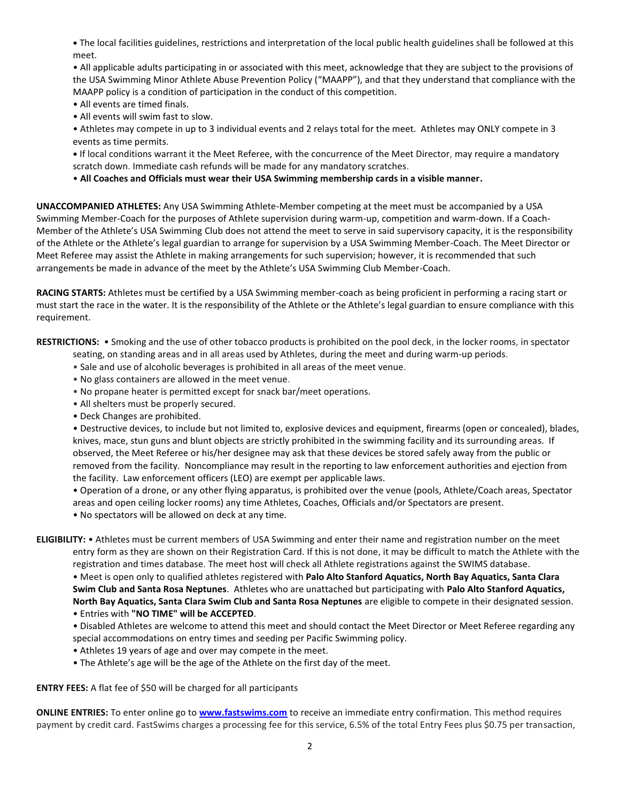**•** The local facilities guidelines, restrictions and interpretation of the local public health guidelines shall be followed at this meet.

• All applicable adults participating in or associated with this meet, acknowledge that they are subject to the provisions of the USA Swimming Minor Athlete Abuse Prevention Policy ("MAAPP"), and that they understand that compliance with the MAAPP policy is a condition of participation in the conduct of this competition.

- All events are timed finals.
- All events will swim fast to slow.

• Athletes may compete in up to 3 individual events and 2 relays total for the meet. Athletes may ONLY compete in 3 events as time permits.

**•** If local conditions warrant it the Meet Referee, with the concurrence of the Meet Director, may require a mandatory scratch down. Immediate cash refunds will be made for any mandatory scratches.

• **All Coaches and Officials must wear their USA Swimming membership cards in a visible manner.** 

**UNACCOMPANIED ATHLETES:** Any USA Swimming Athlete-Member competing at the meet must be accompanied by a USA Swimming Member-Coach for the purposes of Athlete supervision during warm-up, competition and warm-down. If a Coach-Member of the Athlete's USA Swimming Club does not attend the meet to serve in said supervisory capacity, it is the responsibility of the Athlete or the Athlete's legal guardian to arrange for supervision by a USA Swimming Member-Coach. The Meet Director or Meet Referee may assist the Athlete in making arrangements for such supervision; however, it is recommended that such arrangements be made in advance of the meet by the Athlete's USA Swimming Club Member-Coach.

**RACING STARTS:** Athletes must be certified by a USA Swimming member-coach as being proficient in performing a racing start or must start the race in the water. It is the responsibility of the Athlete or the Athlete's legal guardian to ensure compliance with this requirement.

**RESTRICTIONS:** • Smoking and the use of other tobacco products is prohibited on the pool deck, in the locker rooms, in spectator

seating, on standing areas and in all areas used by Athletes, during the meet and during warm-up periods.

- Sale and use of alcoholic beverages is prohibited in all areas of the meet venue.
- No glass containers are allowed in the meet venue.
- No propane heater is permitted except for snack bar/meet operations.
- All shelters must be properly secured.
- Deck Changes are prohibited.

• Destructive devices, to include but not limited to, explosive devices and equipment, firearms (open or concealed), blades, knives, mace, stun guns and blunt objects are strictly prohibited in the swimming facility and its surrounding areas. If observed, the Meet Referee or his/her designee may ask that these devices be stored safely away from the public or removed from the facility. Noncompliance may result in the reporting to law enforcement authorities and ejection from the facility. Law enforcement officers (LEO) are exempt per applicable laws.

• Operation of a drone, or any other flying apparatus, is prohibited over the venue (pools, Athlete/Coach areas, Spectator areas and open ceiling locker rooms) any time Athletes, Coaches, Officials and/or Spectators are present.

• No spectators will be allowed on deck at any time.

**ELIGIBILITY:** • Athletes must be current members of USA Swimming and enter their name and registration number on the meet entry form as they are shown on their Registration Card. If this is not done, it may be difficult to match the Athlete with the registration and times database. The meet host will check all Athlete registrations against the SWIMS database.

• Meet is open only to qualified athletes registered with **Palo Alto Stanford Aquatics, North Bay Aquatics, Santa Clara Swim Club and Santa Rosa Neptunes**. Athletes who are unattached but participating with **Palo Alto Stanford Aquatics, North Bay Aquatics, Santa Clara Swim Club and Santa Rosa Neptunes** are eligible to compete in their designated session. • Entries with **"NO TIME" will be ACCEPTED**.

• Disabled Athletes are welcome to attend this meet and should contact the Meet Director or Meet Referee regarding any special accommodations on entry times and seeding per Pacific Swimming policy.

- Athletes 19 years of age and over may compete in the meet.
- The Athlete's age will be the age of the Athlete on the first day of the meet.

**ENTRY FEES:** A flat fee of \$50 will be charged for all participants

**ONLINE ENTRIES:** To enter online go to **[www.fastswims.com](http://www.fastswims.com/)** to receive an immediate entry confirmation. This method requires payment by credit card. FastSwims charges a processing fee for this service, 6.5% of the total Entry Fees plus \$0.75 per transaction,